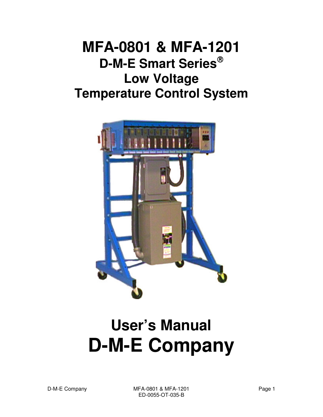# **MFA-0801 & MFA-1201 D-M-E Smart Series Low Voltage Temperature Control System**



# **User's Manual D-M-E Company**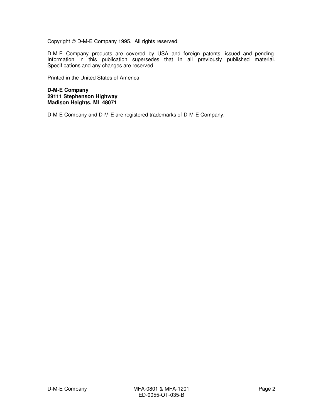Copyright © D-M-E Company 1995. All rights reserved.

D-M-E Company products are covered by USA and foreign patents, issued and pending. Information in this publication supersedes that in all previously published material. Specifications and any changes are reserved.

Printed in the United States of America

**D-M-E Company 29111 Stephenson Highway Madison Heights, MI 48071** 

D-M-E Company and D-M-E are registered trademarks of D-M-E Company.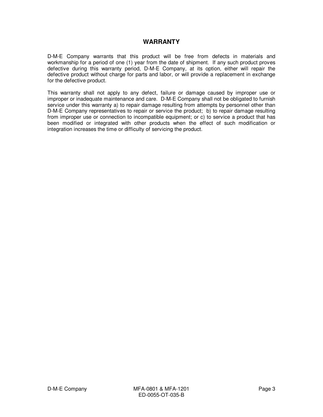## **WARRANTY**

D-M-E Company warrants that this product will be free from defects in materials and workmanship for a period of one (1) year from the date of shipment. If any such product proves defective during this warranty period, D-M-E Company, at its option, either will repair the defective product without charge for parts and labor, or will provide a replacement in exchange for the defective product.

This warranty shall not apply to any defect, failure or damage caused by improper use or improper or inadequate maintenance and care. D-M-E Company shall not be obligated to furnish service under this warranty a) to repair damage resulting from attempts by personnel other than D-M-E Company representatives to repair or service the product; b) to repair damage resulting from improper use or connection to incompatible equipment; or c) to service a product that has been modified or integrated with other products when the effect of such modification or integration increases the time or difficulty of servicing the product.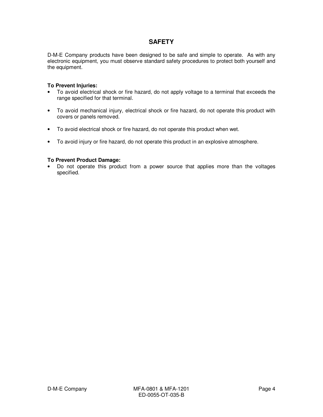## **SAFETY**

D-M-E Company products have been designed to be safe and simple to operate. As with any electronic equipment, you must observe standard safety procedures to protect both yourself and the equipment.

#### **To Prevent Injuries:**

- To avoid electrical shock or fire hazard, do not apply voltage to a terminal that exceeds the range specified for that terminal.
- To avoid mechanical injury, electrical shock or fire hazard, do not operate this product with covers or panels removed.
- To avoid electrical shock or fire hazard, do not operate this product when wet.
- To avoid injury or fire hazard, do not operate this product in an explosive atmosphere.

#### **To Prevent Product Damage:**

• Do not operate this product from a power source that applies more than the voltages specified.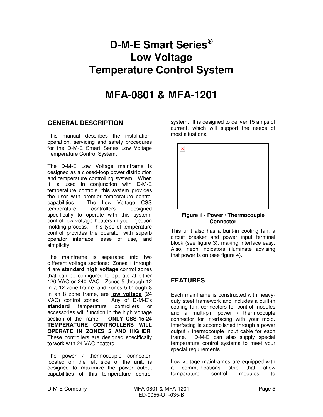## **D-M-E Smart Series Low Voltage Temperature Control System**

## **MFA-0801 & MFA-1201**

## **GENERAL DESCRIPTION**

This manual describes the installation, operation, servicing and safety procedures for the D-M-E Smart Series Low Voltage Temperature Control System.

The D-M-E Low Voltage mainframe is designed as a closed-loop power distribution and temperature controlling system. When it is used in conjunction with D-M-E temperature controls, this system provides the user with premier temperature control capabilities. The Low Voltage CSS temperature controllers designed specifically to operate with this system, control low voltage heaters in your injection molding process. This type of temperature control provides the operator with superb operator interface, ease of use, and simplicity.

The mainframe is separated into two different voltage sections: Zones 1 through 4 are **standard high voltage** control zones that can be configured to operate at either 120 VAC or 240 VAC. Zones 5 through 12 in a 12 zone frame, and zones 5 through 8 in an 8 zone frame, are **low voltage** (24 VAC) control zones. Any of D-M-E's standard temperature controllers or accessories will function in the high voltage section of the frame. **TEMPERATURE CONTROLLERS WILL OPERATE IN ZONES 5 AND HIGHER.** These controllers are designed specifically to work with 24 VAC heaters.

The power / thermocouple connector, located on the left side of the unit, is designed to maximize the power output capabilities of this temperature control system. It is designed to deliver 15 amps of current, which will support the needs of most situations.



#### **Figure 1 - Power / Thermocouple Connector**

This unit also has a built-in cooling fan, a circuit breaker and power input terminal block (see figure 3), making interface easy. Also, neon indicators illuminate advising that power is on (see figure 4).

## **FEATURES**

Each mainframe is constructed with heavyduty steel framework and includes a built-in cooling fan, connectors for control modules and a multi-pin power / thermocouple connector for interfacing with your mold. Interfacing is accomplished through a power output / thermocouple input cable for each frame. D-M-E can also supply special temperature control systems to meet your special requirements.

Low voltage mainframes are equipped with<br>a communications strip that allow a communications strip that allow temperature control modules to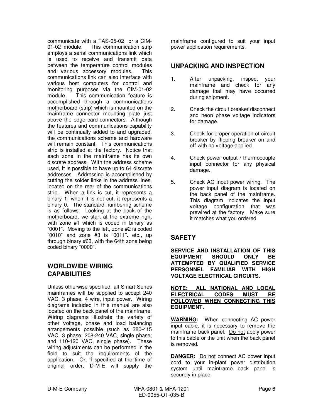communicate with a TAS-05-02 or a CIM-01-02 module. This communication strip employs a serial communications link which is used to receive and transmit data between the temperature control modules and various accessory modules. This communications link can also interface with various host computers for control and monitoring purposes via the CIM-01-02 module. This communication feature is accomplished through a communications motherboard (strip) which is mounted on the mainframe connector mounting plate just above the edge card connectors. Although the features and communications capability will be continually added to and upgraded. the communications scheme and hardware will remain constant. This communications strip is installed at the factory. Notice that each zone in the mainframe has its own discrete address. With the address scheme used, it is possible to have up to 64 discrete addresses. Addressing is accomplished by cutting the solder links in the address lines, located on the rear of the communications strip. When a link is cut, it represents a binary 1; when it is not cut, it represents a binary 0. The standard numbering scheme is as follows: Looking at the back of the motherboard, we start at the extreme right with zone #1 which is coded in binary as "0001". Moving to the left, zone #2 is coded "0010" and zone #3 is "0011". etc., up through binary #63, with the 64th zone being coded binary "0000".

## **WORLDWIDE WIRING CAPABILITIES**

Unless otherwise specified, all Smart Series mainframes will be supplied to accept 240 VAC, 3 phase, 4 wire, input power. Wiring diagrams included in this manual are also located on the back panel of the mainframe. Wiring diagrams illustrate the variety of other voltage, phase and load balancing arrangements possible (such as 380-415 VAC, 3 phase; 208-240 VAC, single phase; and 110-120 VAC, single phase). These wiring adjustments can be performed in the field to suit the requirements of the application. Or, if specified at the time of original order, D-M-E will supply the

mainframe configured to suit your input power application requirements.

## **UNPACKING AND INSPECTION**

- 1. After unpacking, inspect your mainframe and check for any damage that may have occurred during shipment.
- 2. Check the circuit breaker disconnect and neon phase voltage indicators for damage.
- 3. Check for proper operation of circuit breaker by flipping breaker on and off with no voltage applied.
- 4. Check power output / thermocouple input connector for any physical damage.
- 5. Check AC input power wiring. The power input diagram is located on the back panel of the mainframe. This diagram indicates the input voltage configuration that was prewired at the factory. Make sure it matches what you ordered.

## **SAFETY**

**SERVICE AND INSTALLATION OF THIS EQUIPMENT SHOULD ONLY BE ATTEMPTED BY QUALIFIED SERVICE PERSONNEL FAMILIAR WITH HIGH VOLTAGE ELECTRICAL CIRCUITS.** 

**NOTE: ALL NATIONAL AND LOCAL ELECTRICAL CODES MUST BE FOLLOWED WHEN CONNECTING THIS EQUIPMENT.**

**WARNING:** When connecting AC power input cable, it is necessary to remove the mainframe back panel. Do not apply power to this cable or the unit when the back panel is removed.

**DANGER:** Do not connect AC power input cord to your in-plant power distribution system until mainframe back panel is securely in place.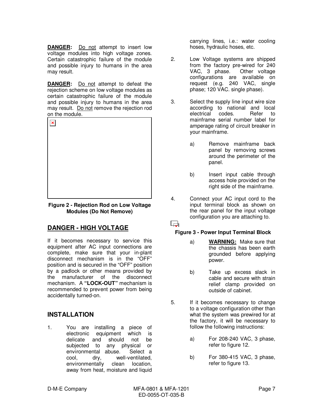**DANGER:** Do not attempt to insert low voltage modules into high voltage zones. Certain catastrophic failure of the module and possible injury to humans in the area may result.

**DANGER:** Do not attempt to defeat the rejection scheme on low voltage modules as certain catastrophic failure of the module and possible injury to humans in the area may result. Do not remove the rejection rod on the module.



**Figure 2 - Rejection Rod on Low Voltage Modules (Do Not Remove)** 

## **DANGER - HIGH VOLTAGE**

If it becomes necessary to service this equipment after AC input connections are complete, make sure that your in-plant disconnect mechanism is in the "OFF" position and is secured in the "OFF" position by a padlock or other means provided by the manufacturer of the disconnect mechanism. A **"LOCK-OUT"** mechanism is recommended to prevent power from being accidentally turned-on.

## **INSTALLATION**

1. You are installing a piece of electronic equipment which is delicate and should not be subjected to any physical or environmental abuse. Select a cool, dry, well-ventilated, environmentally clean location, away from heat, moisture and liquid carrying lines, i.e.: water cooling hoses, hydraulic hoses, etc.

- 2. Low Voltage systems are shipped from the factory pre-wired for 240 VAC, 3 phase. Other voltage configurations are available on request (e.g. 240 VAC, single phase; 120 VAC. single phase).
- 3. Select the supply line input wire size according to national and local<br>electrical codes. Refer to electrical codes. Refer to mainframe serial number label for amperage rating of circuit breaker in your mainframe.
	- a) Remove mainframe back panel by removing screws around the perimeter of the panel.
	- b) Insert input cable through access hole provided on the right side of the mainframe.
- 4. Connect your AC input cord to the input terminal block as shown on the rear panel for the input voltage configuration you are attaching to.

## $\Box$

## **Figure 3 - Power Input Terminal Block**

- a) **WARNING:** Make sure that the chassis has been earth grounded before applying power.
- b) Take up excess slack in cable and secure with strain relief clamp provided on outside of cabinet.
- 5. If it becomes necessary to change to a voltage configuration other than what the system was prewired for at the factory, it will be necessary to follow the following instructions:
	- a) For 208-240 VAC, 3 phase, refer to figure 12.
	- b) For 380-415 VAC, 3 phase, refer to figure 13.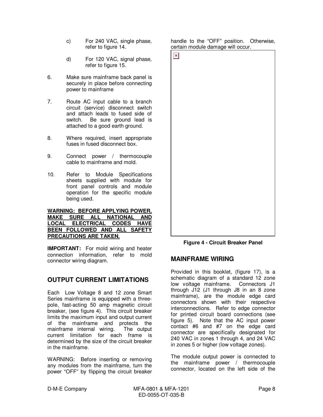- c) For 240 VAC, single phase, refer to figure 14.
- d) For 120 VAC, signal phase, refer to figure 15.
- 6. Make sure mainframe back panel is securely in place before connecting power to mainframe
- 7. Route AC input cable to a branch circuit (service) disconnect switch and attach leads to fused side of switch. Be sure ground lead is attached to a good earth ground.
- 8. Where required, insert appropriate fuses in fused disconnect box.
- 9. Connect power / thermocouple cable to mainframe and mold.
- 10. Refer to Module Specifications sheets supplied with module for front panel controls and module operation for the specific module being used.

#### **WARNING: BEFORE APPLYING POWER, MAKE SURE ALL NATIONAL AND LOCAL ELECTRICAL CODES HAVE BEEN FOLLOWED AND ALL SAFETY PRECAUTIONS ARE TAKEN.**

**IMPORTANT:** For mold wiring and heater connection information, refer to mold connector wiring diagram.

## **OUTPUT CURRENT LIMITATIONS**

Each Low Voltage 8 and 12 zone Smart Series mainframe is equipped with a threepole, fast-acting 50 amp magnetic circuit breaker, (see figure 4). This circuit breaker limits the maximum input and output current of the mainframe and protects the mainframe internal wiring. The output current limitation for each frame is determined by the size of the circuit breaker in the mainframe.

WARNING: Before inserting or removing any modules from the mainframe, turn the power "OFF" by flipping the circuit breaker

handle to the "OFF" position. Otherwise, certain module damage will occur.



**Figure 4 - Circuit Breaker Panel** 

## **MAINFRAME WIRING**

Provided in this booklet, (figure 17), is a schematic diagram of a standard 12 zone low voltage mainframe. Connectors J1 through J12 (J1 through J8 in an 8 zone mainframe), are the module edge card connectors shown with their respective interconnections. Refer to edge connector for printed circuit board connections (see figure 5). Note that the AC input power contact #6 and #7 on the edge card connector are specifically designated for 240 VAC in zones 1 through 4, and 24 VAC in zones 5 or higher (low voltage zones).

The module output power is connected to the mainframe power / thermocouple connector, located on the left side of the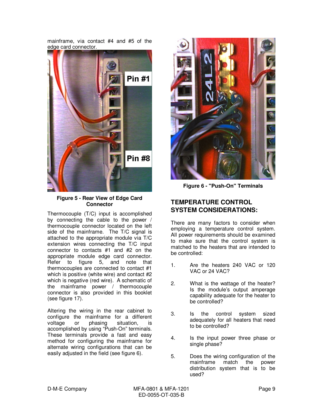mainframe, via contact #4 and #5 of the edge card connector.



**Figure 5 - Rear View of Edge Card Connector** 

Thermocouple (T/C) input is accomplished by connecting the cable to the power / thermocouple connector located on the left side of the mainframe. The T/C signal is attached to the appropriate module via T/C extension wires connecting the T/C input connector to contacts #1 and #2 on the appropriate module edge card connector. Refer to figure 5, and note that thermocouples are connected to contact #1 which is positive (white wire) and contact #2 which is negative (red wire). A schematic of the mainframe power / thermocouple connector is also provided in this booklet (see figure 17).

Altering the wiring in the rear cabinet to configure the mainframe for a different<br>voltage or phasing situation, is voltage or phasing situation, is accomplished by using "Push-On" terminals. These terminals provide a fast and easy method for configuring the mainframe for alternate wiring configurations that can be easily adjusted in the field (see figure 6).



**Figure 6 - "Push-On" Terminals** 

## **TEMPERATURE CONTROL SYSTEM CONSIDERATIONS:**

There are many factors to consider when employing a temperature control system. All power requirements should be examined to make sure that the control system is matched to the heaters that are intended to be controlled:

- 1. Are the heaters 240 VAC or 120 VAC or 24 VAC?
- 2. What is the wattage of the heater? Is the module's output amperage capability adequate for the heater to be controlled?
- 3. Is the control system sized adequately for all heaters that need to be controlled?
- 4. Is the input power three phase or single phase?
- 5. Does the wiring configuration of the mainframe match the power distribution system that is to be used?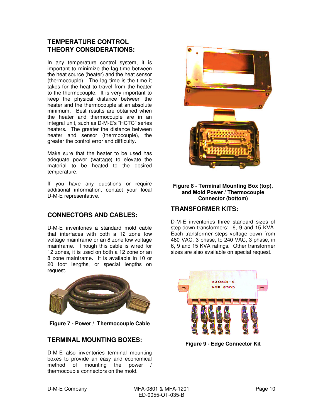## **TEMPERATURE CONTROL THEORY CONSIDERATIONS:**

In any temperature control system, it is important to minimize the lag time between the heat source (heater) and the heat sensor (thermocouple). The lag time is the time it takes for the heat to travel from the heater to the thermocouple. It is very important to keep the physical distance between the heater and the thermocouple at an absolute minimum. Best results are obtained when the heater and thermocouple are in an integral unit, such as D-M-E's "HCTC" series heaters. The greater the distance between heater and sensor (thermocouple), the greater the control error and difficulty.

Make sure that the heater to be used has adequate power (wattage) to elevate the material to be heated to the desired temperature.

If you have any questions or require additional information, contact your local D-M-E representative.

## **CONNECTORS AND CABLES:**

D-M-E inventories a standard mold cable that interfaces with both a 12 zone low voltage mainframe or an 8 zone low voltage mainframe. Though this cable is wired for 12 zones, it is used on both a 12 zone or an 8 zone mainframe. It is available in 10 or 20 foot lengths, or special lengths on request.



**Figure 7 - Power / Thermocouple Cable** 

## **TERMINAL MOUNTING BOXES:**

D-M-E also inventories terminal mounting boxes to provide an easy and economical method of mounting the power / thermocouple connectors on the mold.



#### **Figure 8 - Terminal Mounting Box (top), and Mold Power / Thermocouple Connector (bottom)**

## **TRANSFORMER KITS:**

D-M-E inventories three standard sizes of step-down transformers: 6, 9 and 15 KVA. Each transformer steps voltage down from 480 VAC, 3 phase, to 240 VAC, 3 phase, in 6, 9 and 15 KVA ratings. Other transformer sizes are also available on special request.



**Figure 9 - Edge Connector Kit**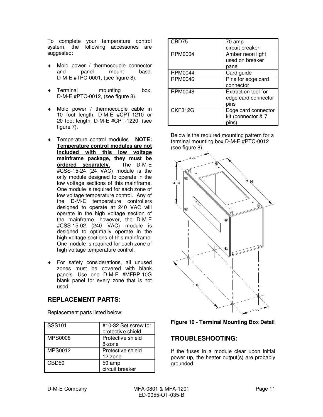To complete your temperature control system, the following accessories are suggested:

- ♦ Mold power / thermocouple connector and panel mount base, D-M-E #TPC-0001, (see figure 8).
- Terminal mounting box, D-M-E #PTC-0012, (see figure 8).
- ♦ Mold power / thermocouple cable in 10 foot length, D-M-E #CPT-1210 or 20 foot length, D-M-E #CPT-1220, (see figure 7).
- ♦ Temperature control modules. **NOTE: Temperature control modules are not included with this low voltage mainframe package, they must be**  ordered separately. #CSS-15-24 (24 VAC) module is the only module designed to operate in the low voltage sections of this mainframe. One module is required for each zone of low voltage temperature control. Any of the D-M-E temperature controllers designed to operate at 240 VAC will operate in the high voltage section of the mainframe, however, the D-M-E #CSS-15-02 (240 VAC) module is designed to optimally operate in the high voltage sections of this mainframe. One module is required for each zone of high voltage temperature control.
- For safety considerations, all unused zones must be covered with blank panels. Use one D-M-E #MFBP-10G blank panel for every zone that is not used.

## **REPLACEMENT PARTS:**

Replacement parts listed below:

| $\overline{\phantom{1}}$ SSS101 | #10-32 Set screw for<br>protective shield |
|---------------------------------|-------------------------------------------|
| <b>MPS0008</b>                  | Protective shield                         |
|                                 | 8-zone                                    |
| MPS0012                         | Protective shield                         |
|                                 | 12-zone                                   |
| CBD50                           | 50 amp                                    |
|                                 | circuit breaker                           |

| CBD75          | 70 amp<br>circuit breaker                          |
|----------------|----------------------------------------------------|
| RPM0004        | Amber neon light<br>used on breaker<br>panel       |
| RPM0044        | Card guide                                         |
| RPM0046        | Pins for edge card<br>connector                    |
| <b>RPM0048</b> | Extraction tool for<br>edge card connector<br>pins |
| <b>CKF312G</b> | Edge card connector<br>kit (connector & 7          |

Below is the required mounting pattern for a terminal mounting box D-M-E #PTC-0012 (see figure 8).





## **TROUBLESHOOTING:**

If the fuses in a module clear upon initial power up, the heater output(s) are probably grounded.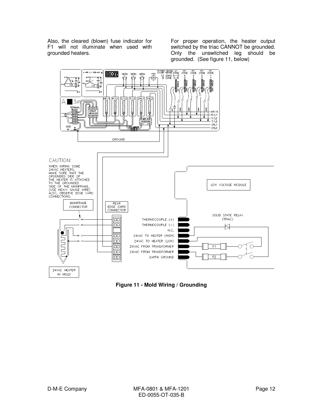Also, the cleared (blown) fuse indicator for F1 will not illuminate when used with grounded heaters.

For proper operation, the heater output switched by the triac CANNOT be grounded. Only the unswitched leg should be grounded. (See figure 11, below)



**Figure 11 - Mold Wiring / Grounding**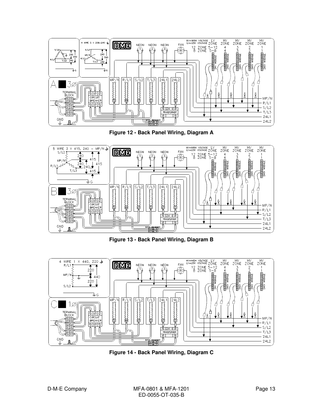

**Figure 12 - Back Panel Wiring, Diagram A** 



**Figure 13 - Back Panel Wiring, Diagram B** 



**Figure 14 - Back Panel Wiring, Diagram C**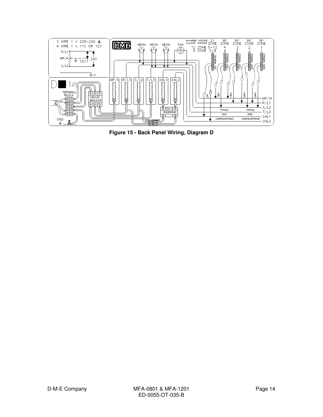

**Figure 15 - Back Panel Wiring, Diagram D**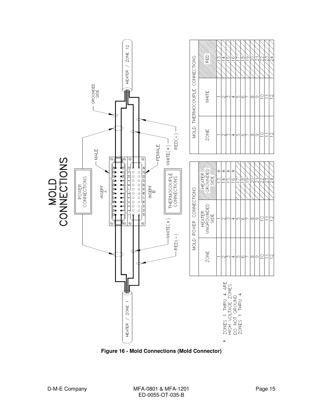

**Figure 16 - Mold Connections (Mold Connector)**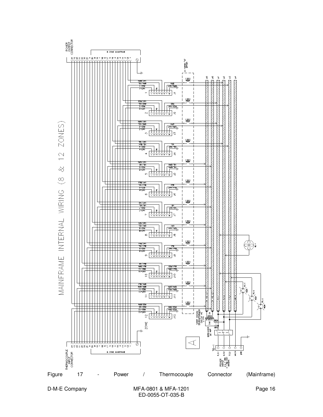

D-M-E Company **MFA-0801 & MFA-1201** Page 16 ED-0055-OT-035-B